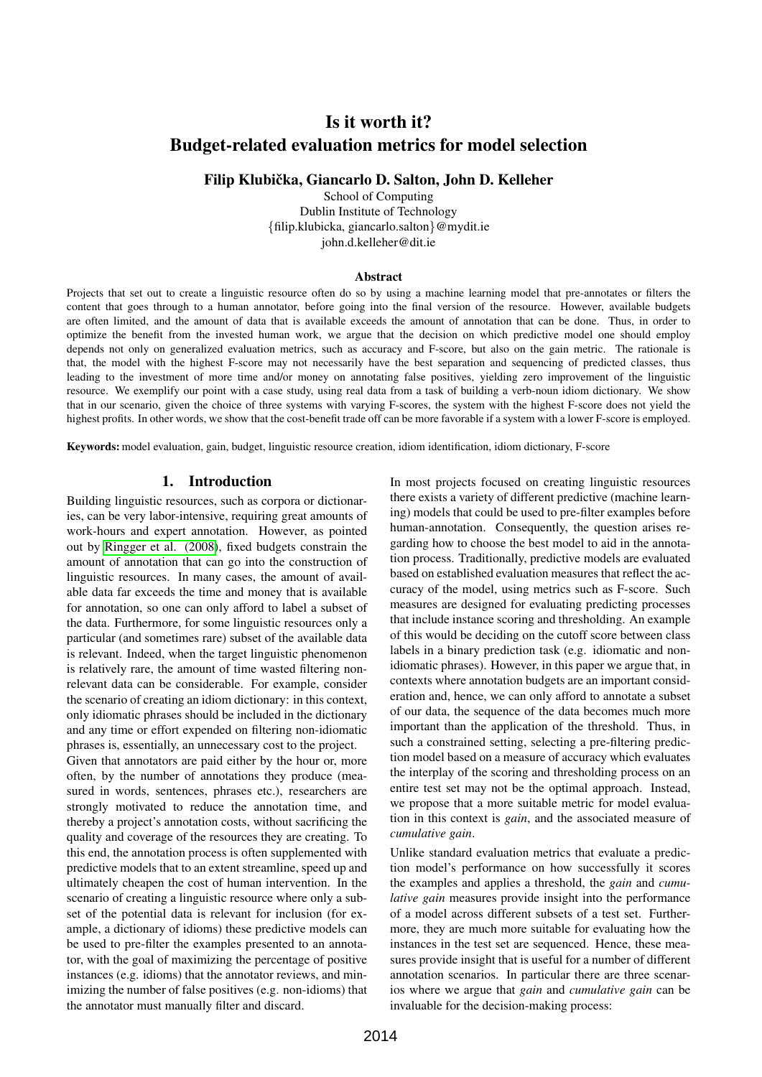# Is it worth it? Budget-related evaluation metrics for model selection

Filip Klubička, Giancarlo D. Salton, John D. Kelleher

School of Computing Dublin Institute of Technology {filip.klubicka, giancarlo.salton}@mydit.ie john.d.kelleher@dit.ie

#### Abstract

Projects that set out to create a linguistic resource often do so by using a machine learning model that pre-annotates or filters the content that goes through to a human annotator, before going into the final version of the resource. However, available budgets are often limited, and the amount of data that is available exceeds the amount of annotation that can be done. Thus, in order to optimize the benefit from the invested human work, we argue that the decision on which predictive model one should employ depends not only on generalized evaluation metrics, such as accuracy and F-score, but also on the gain metric. The rationale is that, the model with the highest F-score may not necessarily have the best separation and sequencing of predicted classes, thus leading to the investment of more time and/or money on annotating false positives, yielding zero improvement of the linguistic resource. We exemplify our point with a case study, using real data from a task of building a verb-noun idiom dictionary. We show that in our scenario, given the choice of three systems with varying F-scores, the system with the highest F-score does not yield the highest profits. In other words, we show that the cost-benefit trade off can be more favorable if a system with a lower F-score is employed.

Keywords: model evaluation, gain, budget, linguistic resource creation, idiom identification, idiom dictionary, F-score

#### 1. Introduction

Building linguistic resources, such as corpora or dictionaries, can be very labor-intensive, requiring great amounts of work-hours and expert annotation. However, as pointed out by [Ringger et al. \(2008\)](#page-7-0), fixed budgets constrain the amount of annotation that can go into the construction of linguistic resources. In many cases, the amount of available data far exceeds the time and money that is available for annotation, so one can only afford to label a subset of the data. Furthermore, for some linguistic resources only a particular (and sometimes rare) subset of the available data is relevant. Indeed, when the target linguistic phenomenon is relatively rare, the amount of time wasted filtering nonrelevant data can be considerable. For example, consider the scenario of creating an idiom dictionary: in this context, only idiomatic phrases should be included in the dictionary and any time or effort expended on filtering non-idiomatic phrases is, essentially, an unnecessary cost to the project.

Given that annotators are paid either by the hour or, more often, by the number of annotations they produce (measured in words, sentences, phrases etc.), researchers are strongly motivated to reduce the annotation time, and thereby a project's annotation costs, without sacrificing the quality and coverage of the resources they are creating. To this end, the annotation process is often supplemented with predictive models that to an extent streamline, speed up and ultimately cheapen the cost of human intervention. In the scenario of creating a linguistic resource where only a subset of the potential data is relevant for inclusion (for example, a dictionary of idioms) these predictive models can be used to pre-filter the examples presented to an annotator, with the goal of maximizing the percentage of positive instances (e.g. idioms) that the annotator reviews, and minimizing the number of false positives (e.g. non-idioms) that the annotator must manually filter and discard.

In most projects focused on creating linguistic resources there exists a variety of different predictive (machine learning) models that could be used to pre-filter examples before human-annotation. Consequently, the question arises regarding how to choose the best model to aid in the annotation process. Traditionally, predictive models are evaluated based on established evaluation measures that reflect the accuracy of the model, using metrics such as F-score. Such measures are designed for evaluating predicting processes that include instance scoring and thresholding. An example of this would be deciding on the cutoff score between class labels in a binary prediction task (e.g. idiomatic and nonidiomatic phrases). However, in this paper we argue that, in contexts where annotation budgets are an important consideration and, hence, we can only afford to annotate a subset of our data, the sequence of the data becomes much more important than the application of the threshold. Thus, in such a constrained setting, selecting a pre-filtering prediction model based on a measure of accuracy which evaluates the interplay of the scoring and thresholding process on an entire test set may not be the optimal approach. Instead, we propose that a more suitable metric for model evaluation in this context is *gain*, and the associated measure of *cumulative gain*.

Unlike standard evaluation metrics that evaluate a prediction model's performance on how successfully it scores the examples and applies a threshold, the *gain* and *cumulative gain* measures provide insight into the performance of a model across different subsets of a test set. Furthermore, they are much more suitable for evaluating how the instances in the test set are sequenced. Hence, these measures provide insight that is useful for a number of different annotation scenarios. In particular there are three scenarios where we argue that *gain* and *cumulative gain* can be invaluable for the decision-making process: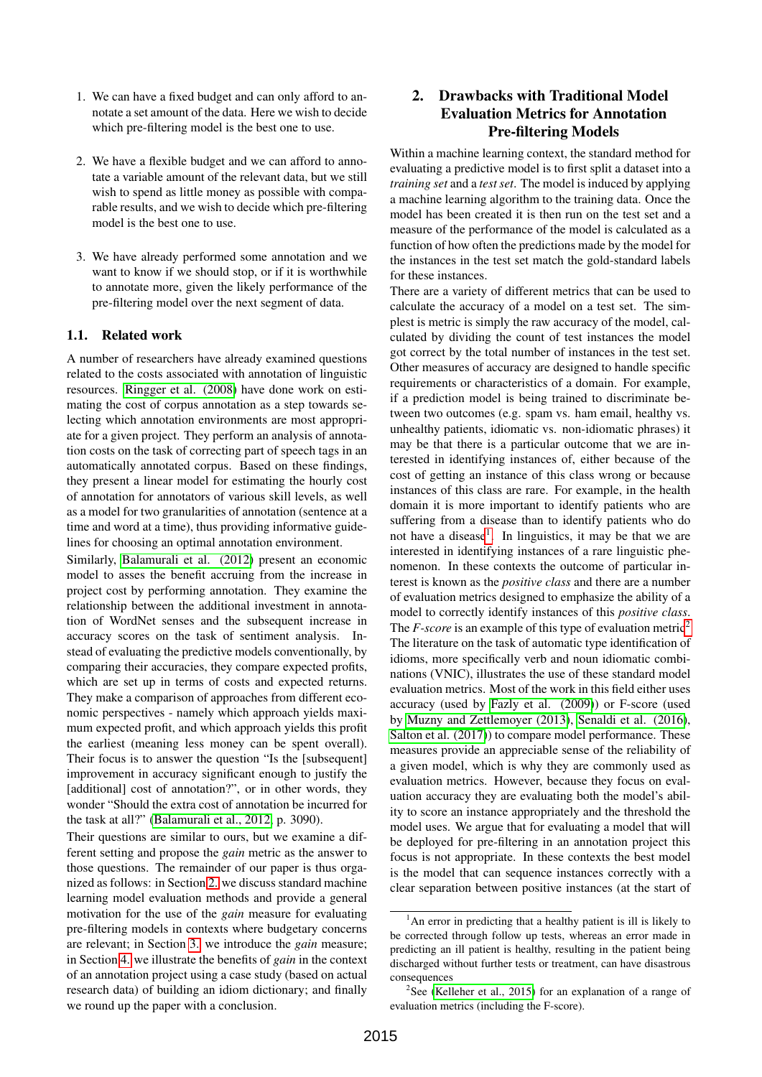- 1. We can have a fixed budget and can only afford to annotate a set amount of the data. Here we wish to decide which pre-filtering model is the best one to use.
- 2. We have a flexible budget and we can afford to annotate a variable amount of the relevant data, but we still wish to spend as little money as possible with comparable results, and we wish to decide which pre-filtering model is the best one to use.
- 3. We have already performed some annotation and we want to know if we should stop, or if it is worthwhile to annotate more, given the likely performance of the pre-filtering model over the next segment of data.

# 1.1. Related work

A number of researchers have already examined questions related to the costs associated with annotation of linguistic resources. [Ringger et al. \(2008\)](#page-7-0) have done work on estimating the cost of corpus annotation as a step towards selecting which annotation environments are most appropriate for a given project. They perform an analysis of annotation costs on the task of correcting part of speech tags in an automatically annotated corpus. Based on these findings, they present a linear model for estimating the hourly cost of annotation for annotators of various skill levels, as well as a model for two granularities of annotation (sentence at a time and word at a time), thus providing informative guidelines for choosing an optimal annotation environment.

Similarly, [Balamurali et al. \(2012\)](#page-6-0) present an economic model to asses the benefit accruing from the increase in project cost by performing annotation. They examine the relationship between the additional investment in annotation of WordNet senses and the subsequent increase in accuracy scores on the task of sentiment analysis. Instead of evaluating the predictive models conventionally, by comparing their accuracies, they compare expected profits, which are set up in terms of costs and expected returns. They make a comparison of approaches from different economic perspectives - namely which approach yields maximum expected profit, and which approach yields this profit the earliest (meaning less money can be spent overall). Their focus is to answer the question "Is the [subsequent] improvement in accuracy significant enough to justify the [additional] cost of annotation?", or in other words, they wonder "Should the extra cost of annotation be incurred for the task at all?" [\(Balamurali et al., 2012,](#page-6-0) p. 3090).

Their questions are similar to ours, but we examine a different setting and propose the *gain* metric as the answer to those questions. The remainder of our paper is thus organized as follows: in Section [2.](#page-1-0) we discuss standard machine learning model evaluation methods and provide a general motivation for the use of the *gain* measure for evaluating pre-filtering models in contexts where budgetary concerns are relevant; in Section [3.](#page-3-0) we introduce the *gain* measure; in Section [4.](#page-4-0) we illustrate the benefits of *gain* in the context of an annotation project using a case study (based on actual research data) of building an idiom dictionary; and finally we round up the paper with a conclusion.

# <span id="page-1-0"></span>2. Drawbacks with Traditional Model Evaluation Metrics for Annotation Pre-filtering Models

Within a machine learning context, the standard method for evaluating a predictive model is to first split a dataset into a *training set* and a *test set*. The model is induced by applying a machine learning algorithm to the training data. Once the model has been created it is then run on the test set and a measure of the performance of the model is calculated as a function of how often the predictions made by the model for the instances in the test set match the gold-standard labels for these instances.

There are a variety of different metrics that can be used to calculate the accuracy of a model on a test set. The simplest is metric is simply the raw accuracy of the model, calculated by dividing the count of test instances the model got correct by the total number of instances in the test set. Other measures of accuracy are designed to handle specific requirements or characteristics of a domain. For example, if a prediction model is being trained to discriminate between two outcomes (e.g. spam vs. ham email, healthy vs. unhealthy patients, idiomatic vs. non-idiomatic phrases) it may be that there is a particular outcome that we are interested in identifying instances of, either because of the cost of getting an instance of this class wrong or because instances of this class are rare. For example, in the health domain it is more important to identify patients who are suffering from a disease than to identify patients who do not have a disease<sup>[1](#page-1-1)</sup>. In linguistics, it may be that we are interested in identifying instances of a rare linguistic phenomenon. In these contexts the outcome of particular interest is known as the *positive class* and there are a number of evaluation metrics designed to emphasize the ability of a model to correctly identify instances of this *positive class*. The *F-score* is an example of this type of evaluation metric<sup>[2](#page-1-2)</sup> The literature on the task of automatic type identification of idioms, more specifically verb and noun idiomatic combinations (VNIC), illustrates the use of these standard model evaluation metrics. Most of the work in this field either uses accuracy (used by [Fazly et al. \(2009\)](#page-6-1)) or F-score (used by [Muzny and Zettlemoyer \(2013\)](#page-7-1), [Senaldi et al. \(2016\)](#page-7-2), [Salton et al. \(2017\)](#page-7-3)) to compare model performance. These measures provide an appreciable sense of the reliability of a given model, which is why they are commonly used as evaluation metrics. However, because they focus on evaluation accuracy they are evaluating both the model's ability to score an instance appropriately and the threshold the model uses. We argue that for evaluating a model that will be deployed for pre-filtering in an annotation project this focus is not appropriate. In these contexts the best model is the model that can sequence instances correctly with a clear separation between positive instances (at the start of

<span id="page-1-1"></span><sup>&</sup>lt;sup>1</sup>An error in predicting that a healthy patient is ill is likely to be corrected through follow up tests, whereas an error made in predicting an ill patient is healthy, resulting in the patient being discharged without further tests or treatment, can have disastrous consequences

<span id="page-1-2"></span><sup>&</sup>lt;sup>2</sup>See [\(Kelleher et al., 2015\)](#page-7-4) for an explanation of a range of evaluation metrics (including the F-score).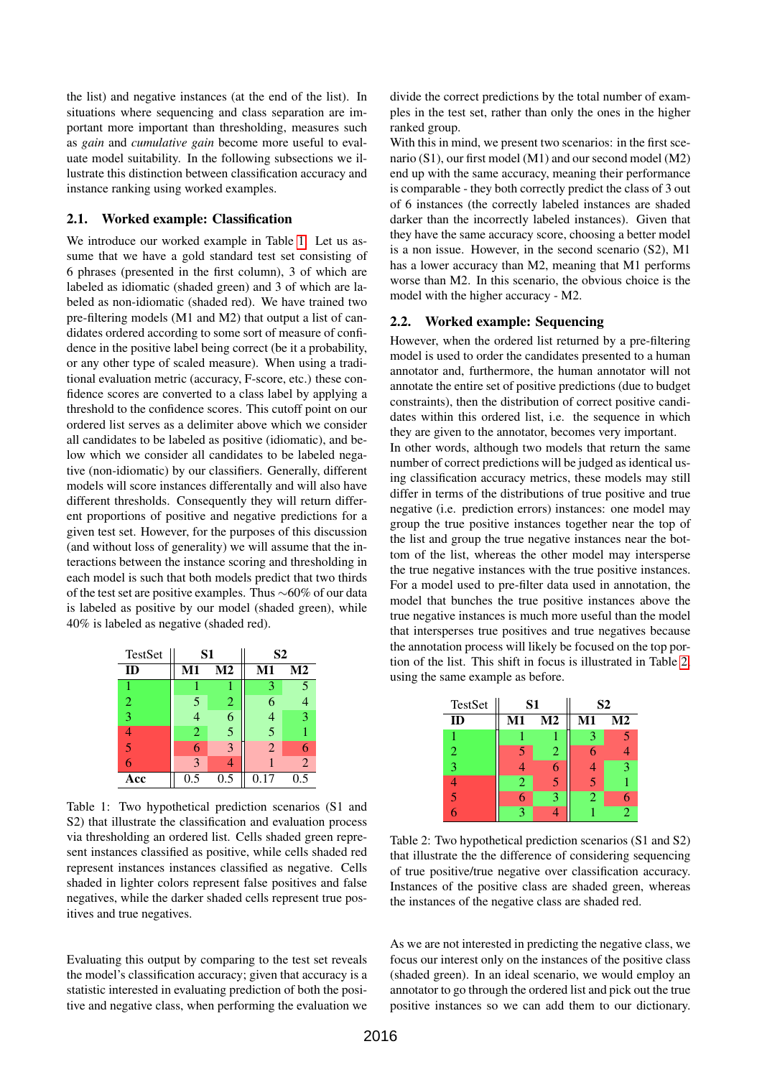the list) and negative instances (at the end of the list). In situations where sequencing and class separation are important more important than thresholding, measures such as *gain* and *cumulative gain* become more useful to evaluate model suitability. In the following subsections we illustrate this distinction between classification accuracy and instance ranking using worked examples.

#### 2.1. Worked example: Classification

We introduce our worked example in Table [1.](#page-2-0) Let us assume that we have a gold standard test set consisting of 6 phrases (presented in the first column), 3 of which are labeled as idiomatic (shaded green) and 3 of which are labeled as non-idiomatic (shaded red). We have trained two pre-filtering models (M1 and M2) that output a list of candidates ordered according to some sort of measure of confidence in the positive label being correct (be it a probability, or any other type of scaled measure). When using a traditional evaluation metric (accuracy, F-score, etc.) these confidence scores are converted to a class label by applying a threshold to the confidence scores. This cutoff point on our ordered list serves as a delimiter above which we consider all candidates to be labeled as positive (idiomatic), and below which we consider all candidates to be labeled negative (non-idiomatic) by our classifiers. Generally, different models will score instances differentally and will also have different thresholds. Consequently they will return different proportions of positive and negative predictions for a given test set. However, for the purposes of this discussion (and without loss of generality) we will assume that the interactions between the instance scoring and thresholding in each model is such that both models predict that two thirds of the test set are positive examples. Thus ∼60% of our data is labeled as positive by our model (shaded green), while 40% is labeled as negative (shaded red).

| TestSet | S <sub>1</sub> |                | S <sub>2</sub> |                |
|---------|----------------|----------------|----------------|----------------|
| ID      | $M1$           | M <sub>2</sub> | M1             | M <sub>2</sub> |
|         |                |                | 3              | $\overline{5}$ |
| 2       | 5              | 2              | 6              |                |
| 3       |                | 6              | 4              | 3              |
|         | $\mathfrak{D}$ | 5              | 5              |                |
| 5       | 6              | 3              | $\overline{2}$ | 6              |
|         | 3              |                |                | $\overline{2}$ |
| Acc     | 0.5            | 0.5            | 0.17           | 0.5            |

<span id="page-2-0"></span>Table 1: Two hypothetical prediction scenarios (S1 and S2) that illustrate the classification and evaluation process via thresholding an ordered list. Cells shaded green represent instances classified as positive, while cells shaded red represent instances instances classified as negative. Cells shaded in lighter colors represent false positives and false negatives, while the darker shaded cells represent true positives and true negatives.

Evaluating this output by comparing to the test set reveals the model's classification accuracy; given that accuracy is a statistic interested in evaluating prediction of both the positive and negative class, when performing the evaluation we

divide the correct predictions by the total number of examples in the test set, rather than only the ones in the higher ranked group.

With this in mind, we present two scenarios: in the first scenario (S1), our first model (M1) and our second model (M2) end up with the same accuracy, meaning their performance is comparable - they both correctly predict the class of 3 out of 6 instances (the correctly labeled instances are shaded darker than the incorrectly labeled instances). Given that they have the same accuracy score, choosing a better model is a non issue. However, in the second scenario (S2), M1 has a lower accuracy than M2, meaning that M1 performs worse than M2. In this scenario, the obvious choice is the model with the higher accuracy - M2.

#### 2.2. Worked example: Sequencing

However, when the ordered list returned by a pre-filtering model is used to order the candidates presented to a human annotator and, furthermore, the human annotator will not annotate the entire set of positive predictions (due to budget constraints), then the distribution of correct positive candidates within this ordered list, i.e. the sequence in which they are given to the annotator, becomes very important.

In other words, although two models that return the same number of correct predictions will be judged as identical using classification accuracy metrics, these models may still differ in terms of the distributions of true positive and true negative (i.e. prediction errors) instances: one model may group the true positive instances together near the top of the list and group the true negative instances near the bottom of the list, whereas the other model may intersperse the true negative instances with the true positive instances. For a model used to pre-filter data used in annotation, the model that bunches the true positive instances above the true negative instances is much more useful than the model that intersperses true positives and true negatives because the annotation process will likely be focused on the top portion of the list. This shift in focus is illustrated in Table [2,](#page-2-1) using the same example as before.

| TestSet | S <sub>1</sub> |    | S <sub>2</sub> |    |
|---------|----------------|----|----------------|----|
| ID      | $\mathbf{M}$ 1 | M2 | M1             | M2 |
|         |                |    |                |    |
| 2       | 5              | 2  |                |    |
| 3       |                |    |                | ٩  |
|         | 2              |    |                |    |
| 5       | 6              | 2  | 2              |    |
|         | 2              |    |                | っ  |

<span id="page-2-1"></span>Table 2: Two hypothetical prediction scenarios (S1 and S2) that illustrate the the difference of considering sequencing of true positive/true negative over classification accuracy. Instances of the positive class are shaded green, whereas the instances of the negative class are shaded red.

As we are not interested in predicting the negative class, we focus our interest only on the instances of the positive class (shaded green). In an ideal scenario, we would employ an annotator to go through the ordered list and pick out the true positive instances so we can add them to our dictionary.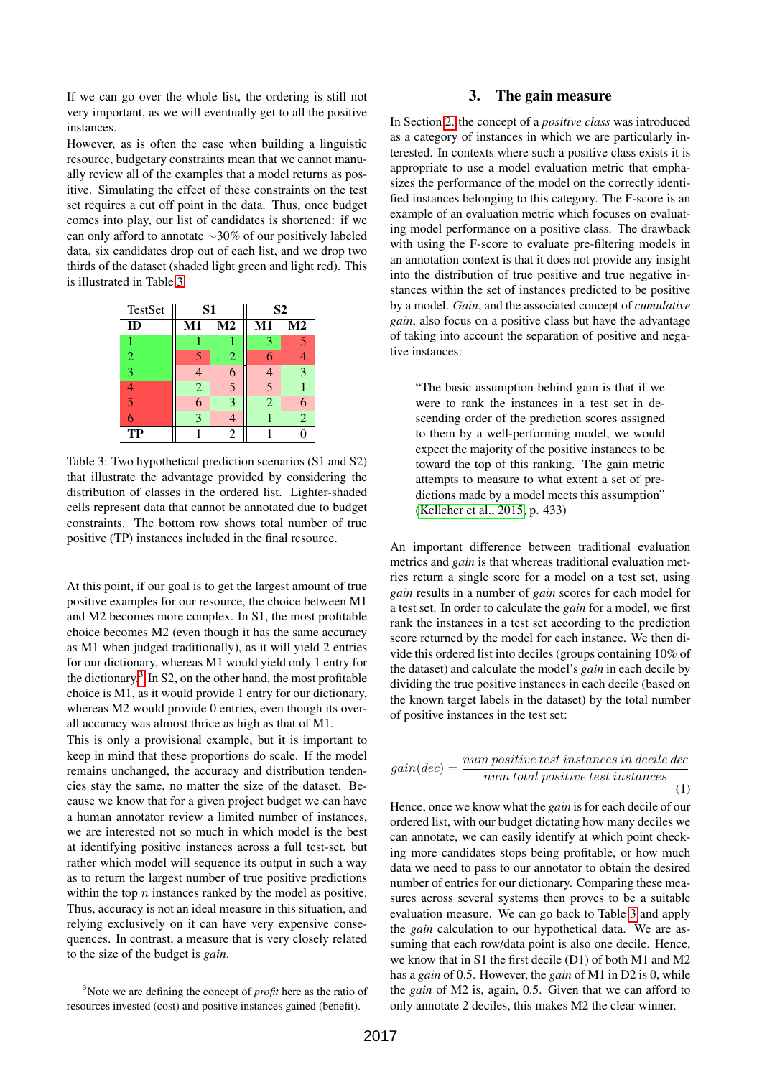If we can go over the whole list, the ordering is still not very important, as we will eventually get to all the positive instances.

However, as is often the case when building a linguistic resource, budgetary constraints mean that we cannot manually review all of the examples that a model returns as positive. Simulating the effect of these constraints on the test set requires a cut off point in the data. Thus, once budget comes into play, our list of candidates is shortened: if we can only afford to annotate ∼30% of our positively labeled data, six candidates drop out of each list, and we drop two thirds of the dataset (shaded light green and light red). This is illustrated in Table [3.](#page-3-1)

| TestSet        | S1             |                | S <sub>2</sub> |                |
|----------------|----------------|----------------|----------------|----------------|
| ID             | M1             | M <sub>2</sub> | M1             | $\bf M2$       |
| 1              |                |                | 3              | 5              |
| $\overline{2}$ | 5              | $\overline{2}$ |                |                |
| 3              | 4              | 6              |                | 3              |
| 4              | $\overline{2}$ | 5              | 5              |                |
| 5              | 6              | 3              | $\overline{2}$ | 6              |
| 6              | 3              |                |                | $\overline{2}$ |
| TP             |                | $\overline{2}$ |                |                |

<span id="page-3-1"></span>Table 3: Two hypothetical prediction scenarios (S1 and S2) that illustrate the advantage provided by considering the distribution of classes in the ordered list. Lighter-shaded cells represent data that cannot be annotated due to budget constraints. The bottom row shows total number of true positive (TP) instances included in the final resource.

At this point, if our goal is to get the largest amount of true positive examples for our resource, the choice between M1 and M2 becomes more complex. In S1, the most profitable choice becomes M2 (even though it has the same accuracy as M1 when judged traditionally), as it will yield 2 entries for our dictionary, whereas M1 would yield only 1 entry for the dictionary.<sup>[3](#page-3-2)</sup> In S2, on the other hand, the most profitable choice is M1, as it would provide 1 entry for our dictionary, whereas M2 would provide 0 entries, even though its overall accuracy was almost thrice as high as that of M1.

This is only a provisional example, but it is important to keep in mind that these proportions do scale. If the model remains unchanged, the accuracy and distribution tendencies stay the same, no matter the size of the dataset. Because we know that for a given project budget we can have a human annotator review a limited number of instances, we are interested not so much in which model is the best at identifying positive instances across a full test-set, but rather which model will sequence its output in such a way as to return the largest number of true positive predictions within the top  $n$  instances ranked by the model as positive. Thus, accuracy is not an ideal measure in this situation, and relying exclusively on it can have very expensive consequences. In contrast, a measure that is very closely related to the size of the budget is *gain*.

# 3. The gain measure

<span id="page-3-0"></span>In Section [2.](#page-1-0) the concept of a *positive class* was introduced as a category of instances in which we are particularly interested. In contexts where such a positive class exists it is appropriate to use a model evaluation metric that emphasizes the performance of the model on the correctly identified instances belonging to this category. The F-score is an example of an evaluation metric which focuses on evaluating model performance on a positive class. The drawback with using the F-score to evaluate pre-filtering models in an annotation context is that it does not provide any insight into the distribution of true positive and true negative instances within the set of instances predicted to be positive by a model. *Gain*, and the associated concept of *cumulative gain*, also focus on a positive class but have the advantage of taking into account the separation of positive and negative instances:

"The basic assumption behind gain is that if we were to rank the instances in a test set in descending order of the prediction scores assigned to them by a well-performing model, we would expect the majority of the positive instances to be toward the top of this ranking. The gain metric attempts to measure to what extent a set of predictions made by a model meets this assumption" [\(Kelleher et al., 2015,](#page-7-4) p. 433)

An important difference between traditional evaluation metrics and *gain* is that whereas traditional evaluation metrics return a single score for a model on a test set, using *gain* results in a number of *gain* scores for each model for a test set. In order to calculate the *gain* for a model, we first rank the instances in a test set according to the prediction score returned by the model for each instance. We then divide this ordered list into deciles (groups containing 10% of the dataset) and calculate the model's *gain* in each decile by dividing the true positive instances in each decile (based on the known target labels in the dataset) by the total number of positive instances in the test set:

$$
gain(dec) = \frac{num\ positive\ test\ instances\ in\ decide\ dec}{num\ total\ positive\ test\ instances}
$$
\n(1)

Hence, once we know what the *gain* is for each decile of our ordered list, with our budget dictating how many deciles we can annotate, we can easily identify at which point checking more candidates stops being profitable, or how much data we need to pass to our annotator to obtain the desired number of entries for our dictionary. Comparing these measures across several systems then proves to be a suitable evaluation measure. We can go back to Table [3](#page-3-1) and apply the *gain* calculation to our hypothetical data. We are assuming that each row/data point is also one decile. Hence, we know that in S1 the first decile (D1) of both M1 and M2 has a *gain* of 0.5. However, the *gain* of M1 in D2 is 0, while the *gain* of M2 is, again, 0.5. Given that we can afford to only annotate 2 deciles, this makes M2 the clear winner.

<span id="page-3-2"></span><sup>3</sup>Note we are defining the concept of *profit* here as the ratio of resources invested (cost) and positive instances gained (benefit).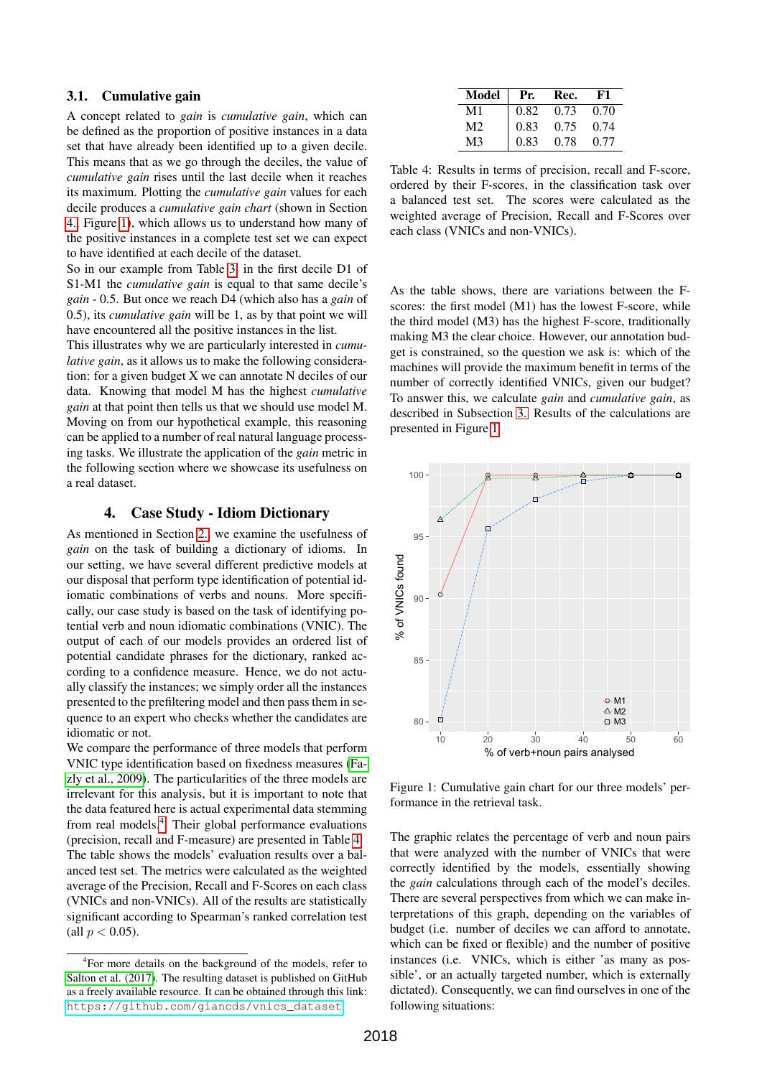# 3.1. Cumulative gain

A concept related to *gain* is *cumulative gain*, which can be defined as the proportion of positive instances in a data set that have already been identified up to a given decile. This means that as we go through the deciles, the value of *cumulative gain* rises until the last decile when it reaches its maximum. Plotting the *cumulative gain* values for each decile produces a *cumulative gain chart* (shown in Section [4.,](#page-4-0) Figure [1\)](#page-4-1), which allows us to understand how many of the positive instances in a complete test set we can expect to have identified at each decile of the dataset.

So in our example from Table [3,](#page-3-1) in the first decile D1 of S1-M1 the *cumulative gain* is equal to that same decile's *gain* - 0.5. But once we reach D4 (which also has a *gain* of 0.5), its *cumulative gain* will be 1, as by that point we will have encountered all the positive instances in the list.

This illustrates why we are particularly interested in *cumulative gain*, as it allows us to make the following consideration: for a given budget X we can annotate N deciles of our data. Knowing that model M has the highest *cumulative gain* at that point then tells us that we should use model M. Moving on from our hypothetical example, this reasoning can be applied to a number of real natural language processing tasks. We illustrate the application of the *gain* metric in the following section where we showcase its usefulness on a real dataset.

# 4. Case Study - Idiom Dictionary

<span id="page-4-0"></span>As mentioned in Section [2.,](#page-1-0) we examine the usefulness of *gain* on the task of building a dictionary of idioms. In our setting, we have several different predictive models at our disposal that perform type identification of potential idiomatic combinations of verbs and nouns. More specifically, our case study is based on the task of identifying potential verb and noun idiomatic combinations (VNIC). The output of each of our models provides an ordered list of potential candidate phrases for the dictionary, ranked according to a confidence measure. Hence, we do not actually classify the instances; we simply order all the instances presented to the prefiltering model and then pass them in sequence to an expert who checks whether the candidates are idiomatic or not.

We compare the performance of three models that perform VNIC type identification based on fixedness measures [\(Fa](#page-6-1)[zly et al., 2009\)](#page-6-1). The particularities of the three models are irrelevant for this analysis, but it is important to note that the data featured here is actual experimental data stemming from real models.[4](#page-4-2) Their global performance evaluations (precision, recall and F-measure) are presented in Table [4.](#page-4-3) The table shows the models' evaluation results over a balanced test set. The metrics were calculated as the weighted average of the Precision, Recall and F-Scores on each class (VNICs and non-VNICs). All of the results are statistically significant according to Spearman's ranked correlation test (all  $p < 0.05$ ).

| <b>Model</b> | Pr.  | Rec. | F1   |
|--------------|------|------|------|
| M1           | 0.82 | 0.73 | 0.70 |
| M2           | 0.83 | 0.75 | 0.74 |
| M3           | 0.83 | 0.78 | 0.77 |

<span id="page-4-3"></span>Table 4: Results in terms of precision, recall and F-score, ordered by their F-scores, in the classification task over a balanced test set. The scores were calculated as the weighted average of Precision, Recall and F-Scores over each class (VNICs and non-VNICs).

As the table shows, there are variations between the Fscores: the first model (M1) has the lowest F-score, while the third model (M3) has the highest F-score, traditionally making M3 the clear choice. However, our annotation budget is constrained, so the question we ask is: which of the machines will provide the maximum benefit in terms of the number of correctly identified VNICs, given our budget? To answer this, we calculate *gain* and *cumulative gain*, as described in Subsection [3.](#page-3-0) Results of the calculations are presented in Figure [1](#page-4-1)



<span id="page-4-1"></span>Figure 1: Cumulative gain chart for our three models' performance in the retrieval task.

The graphic relates the percentage of verb and noun pairs that were analyzed with the number of VNICs that were correctly identified by the models, essentially showing the *gain* calculations through each of the model's deciles. There are several perspectives from which we can make interpretations of this graph, depending on the variables of budget (i.e. number of deciles we can afford to annotate, which can be fixed or flexible) and the number of positive instances (i.e. VNICs, which is either 'as many as possible', or an actually targeted number, which is externally dictated). Consequently, we can find ourselves in one of the following situations:

<span id="page-4-2"></span><sup>&</sup>lt;sup>4</sup>For more details on the background of the models, refer to [Salton et al. \(2017\)](#page-7-3). The resulting dataset is published on GitHub as a freely available resource. It can be obtained through this link: [https://github.com/giancds/vnics\\_dataset](https://github.com/giancds/vnics_dataset).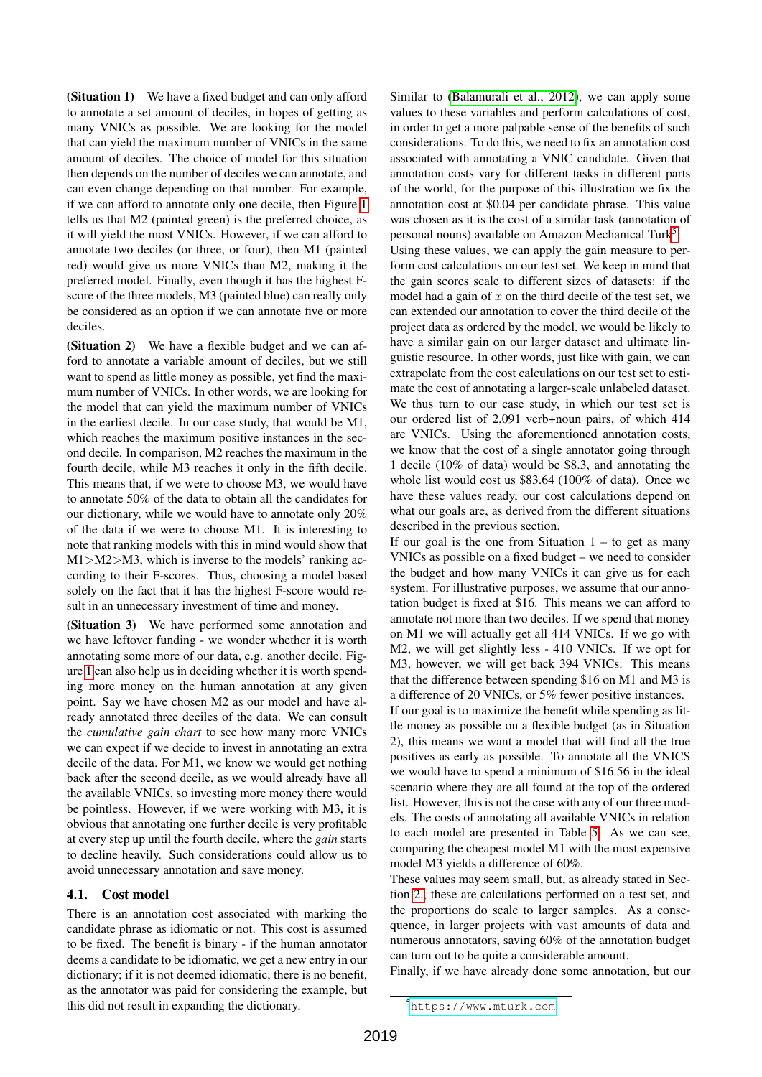(Situation 1) We have a fixed budget and can only afford to annotate a set amount of deciles, in hopes of getting as many VNICs as possible. We are looking for the model that can yield the maximum number of VNICs in the same amount of deciles. The choice of model for this situation then depends on the number of deciles we can annotate, and can even change depending on that number. For example, if we can afford to annotate only one decile, then Figure [1](#page-4-1) tells us that M2 (painted green) is the preferred choice, as it will yield the most VNICs. However, if we can afford to annotate two deciles (or three, or four), then M1 (painted red) would give us more VNICs than M2, making it the preferred model. Finally, even though it has the highest Fscore of the three models, M3 (painted blue) can really only be considered as an option if we can annotate five or more deciles.

(Situation 2) We have a flexible budget and we can afford to annotate a variable amount of deciles, but we still want to spend as little money as possible, yet find the maximum number of VNICs. In other words, we are looking for the model that can yield the maximum number of VNICs in the earliest decile. In our case study, that would be M1, which reaches the maximum positive instances in the second decile. In comparison, M2 reaches the maximum in the fourth decile, while M3 reaches it only in the fifth decile. This means that, if we were to choose M3, we would have to annotate 50% of the data to obtain all the candidates for our dictionary, while we would have to annotate only 20% of the data if we were to choose M1. It is interesting to note that ranking models with this in mind would show that M1>M2>M3, which is inverse to the models' ranking according to their F-scores. Thus, choosing a model based solely on the fact that it has the highest F-score would result in an unnecessary investment of time and money.

(Situation 3) We have performed some annotation and we have leftover funding - we wonder whether it is worth annotating some more of our data, e.g. another decile. Figure [1](#page-4-1) can also help us in deciding whether it is worth spending more money on the human annotation at any given point. Say we have chosen M2 as our model and have already annotated three deciles of the data. We can consult the *cumulative gain chart* to see how many more VNICs we can expect if we decide to invest in annotating an extra decile of the data. For M1, we know we would get nothing back after the second decile, as we would already have all the available VNICs, so investing more money there would be pointless. However, if we were working with M3, it is obvious that annotating one further decile is very profitable at every step up until the fourth decile, where the *gain* starts to decline heavily. Such considerations could allow us to avoid unnecessary annotation and save money.

# 4.1. Cost model

There is an annotation cost associated with marking the candidate phrase as idiomatic or not. This cost is assumed to be fixed. The benefit is binary - if the human annotator deems a candidate to be idiomatic, we get a new entry in our dictionary; if it is not deemed idiomatic, there is no benefit, as the annotator was paid for considering the example, but this did not result in expanding the dictionary.

Similar to [\(Balamurali et al., 2012\)](#page-6-0), we can apply some values to these variables and perform calculations of cost, in order to get a more palpable sense of the benefits of such considerations. To do this, we need to fix an annotation cost associated with annotating a VNIC candidate. Given that annotation costs vary for different tasks in different parts of the world, for the purpose of this illustration we fix the annotation cost at \$0.04 per candidate phrase. This value was chosen as it is the cost of a similar task (annotation of personal nouns) available on Amazon Mechanical Turk<sup>[5](#page-5-0)</sup>.

Using these values, we can apply the gain measure to perform cost calculations on our test set. We keep in mind that the gain scores scale to different sizes of datasets: if the model had a gain of  $x$  on the third decile of the test set, we can extended our annotation to cover the third decile of the project data as ordered by the model, we would be likely to have a similar gain on our larger dataset and ultimate linguistic resource. In other words, just like with gain, we can extrapolate from the cost calculations on our test set to estimate the cost of annotating a larger-scale unlabeled dataset. We thus turn to our case study, in which our test set is our ordered list of 2,091 verb+noun pairs, of which 414 are VNICs. Using the aforementioned annotation costs, we know that the cost of a single annotator going through 1 decile (10% of data) would be \$8.3, and annotating the whole list would cost us \$83.64 (100% of data). Once we have these values ready, our cost calculations depend on what our goals are, as derived from the different situations described in the previous section.

If our goal is the one from Situation  $1 -$  to get as many VNICs as possible on a fixed budget – we need to consider the budget and how many VNICs it can give us for each system. For illustrative purposes, we assume that our annotation budget is fixed at \$16. This means we can afford to annotate not more than two deciles. If we spend that money on M1 we will actually get all 414 VNICs. If we go with M2, we will get slightly less - 410 VNICs. If we opt for M3, however, we will get back 394 VNICs. This means that the difference between spending \$16 on M1 and M3 is a difference of 20 VNICs, or 5% fewer positive instances. If our goal is to maximize the benefit while spending as lit-

tle money as possible on a flexible budget (as in Situation 2), this means we want a model that will find all the true positives as early as possible. To annotate all the VNICS we would have to spend a minimum of \$16.56 in the ideal scenario where they are all found at the top of the ordered list. However, this is not the case with any of our three models. The costs of annotating all available VNICs in relation to each model are presented in Table [5.](#page-6-2) As we can see, comparing the cheapest model M1 with the most expensive model M3 yields a difference of 60%.

These values may seem small, but, as already stated in Section [2.,](#page-1-0) these are calculations performed on a test set, and the proportions do scale to larger samples. As a consequence, in larger projects with vast amounts of data and numerous annotators, saving 60% of the annotation budget can turn out to be quite a considerable amount.

Finally, if we have already done some annotation, but our

<span id="page-5-0"></span><sup>5</sup><https://www.mturk.com>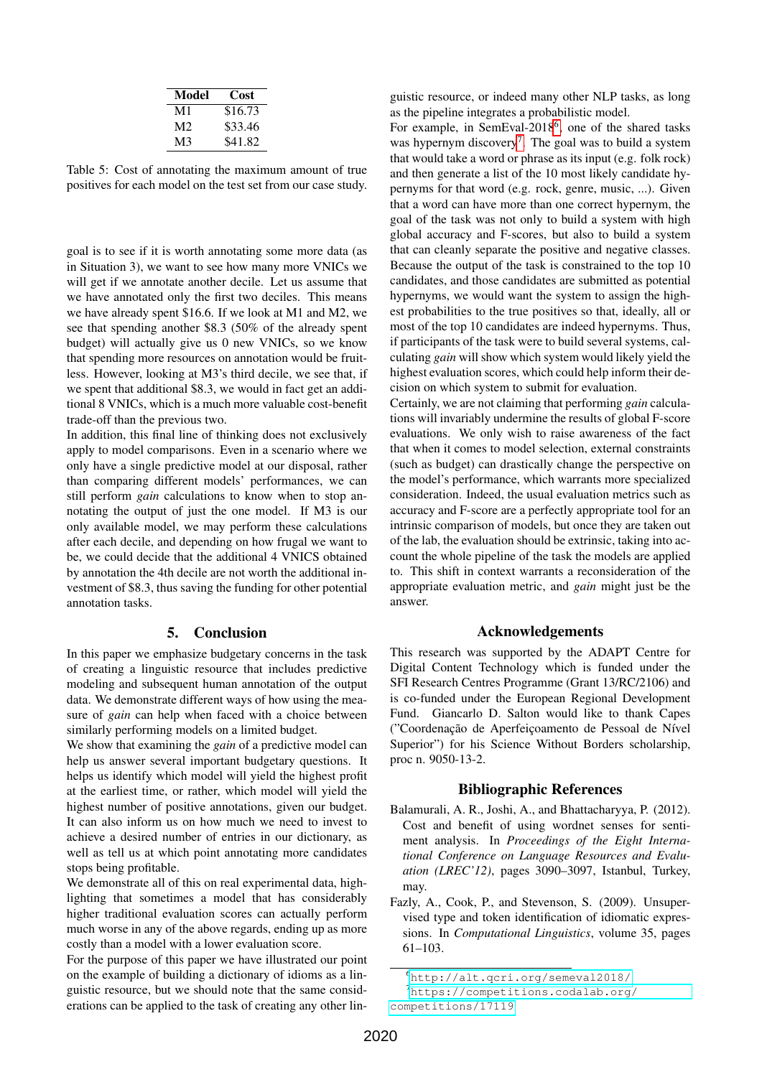| Model | Cost    |
|-------|---------|
| M1    | \$16.73 |
| M2    | \$33.46 |
| M3    | \$41.82 |

<span id="page-6-2"></span>Table 5: Cost of annotating the maximum amount of true positives for each model on the test set from our case study.

goal is to see if it is worth annotating some more data (as in Situation 3), we want to see how many more VNICs we will get if we annotate another decile. Let us assume that we have annotated only the first two deciles. This means we have already spent \$16.6. If we look at M1 and M2, we see that spending another \$8.3 (50% of the already spent budget) will actually give us 0 new VNICs, so we know that spending more resources on annotation would be fruitless. However, looking at M3's third decile, we see that, if we spent that additional \$8.3, we would in fact get an additional 8 VNICs, which is a much more valuable cost-benefit trade-off than the previous two.

In addition, this final line of thinking does not exclusively apply to model comparisons. Even in a scenario where we only have a single predictive model at our disposal, rather than comparing different models' performances, we can still perform *gain* calculations to know when to stop annotating the output of just the one model. If M3 is our only available model, we may perform these calculations after each decile, and depending on how frugal we want to be, we could decide that the additional 4 VNICS obtained by annotation the 4th decile are not worth the additional investment of \$8.3, thus saving the funding for other potential annotation tasks.

#### 5. Conclusion

In this paper we emphasize budgetary concerns in the task of creating a linguistic resource that includes predictive modeling and subsequent human annotation of the output data. We demonstrate different ways of how using the measure of *gain* can help when faced with a choice between similarly performing models on a limited budget.

We show that examining the *gain* of a predictive model can help us answer several important budgetary questions. It helps us identify which model will yield the highest profit at the earliest time, or rather, which model will yield the highest number of positive annotations, given our budget. It can also inform us on how much we need to invest to achieve a desired number of entries in our dictionary, as well as tell us at which point annotating more candidates stops being profitable.

We demonstrate all of this on real experimental data, highlighting that sometimes a model that has considerably higher traditional evaluation scores can actually perform much worse in any of the above regards, ending up as more costly than a model with a lower evaluation score.

For the purpose of this paper we have illustrated our point on the example of building a dictionary of idioms as a linguistic resource, but we should note that the same considerations can be applied to the task of creating any other linguistic resource, or indeed many other NLP tasks, as long as the pipeline integrates a probabilistic model.

For example, in SemEval-2018<sup>[6](#page-6-3)</sup>, one of the shared tasks was hypernym discovery<sup>[7](#page-6-4)</sup>. The goal was to build a system that would take a word or phrase as its input (e.g. folk rock) and then generate a list of the 10 most likely candidate hypernyms for that word (e.g. rock, genre, music, ...). Given that a word can have more than one correct hypernym, the goal of the task was not only to build a system with high global accuracy and F-scores, but also to build a system that can cleanly separate the positive and negative classes. Because the output of the task is constrained to the top 10 candidates, and those candidates are submitted as potential hypernyms, we would want the system to assign the highest probabilities to the true positives so that, ideally, all or most of the top 10 candidates are indeed hypernyms. Thus, if participants of the task were to build several systems, calculating *gain* will show which system would likely yield the highest evaluation scores, which could help inform their decision on which system to submit for evaluation.

Certainly, we are not claiming that performing *gain* calculations will invariably undermine the results of global F-score evaluations. We only wish to raise awareness of the fact that when it comes to model selection, external constraints (such as budget) can drastically change the perspective on the model's performance, which warrants more specialized consideration. Indeed, the usual evaluation metrics such as accuracy and F-score are a perfectly appropriate tool for an intrinsic comparison of models, but once they are taken out of the lab, the evaluation should be extrinsic, taking into account the whole pipeline of the task the models are applied to. This shift in context warrants a reconsideration of the appropriate evaluation metric, and *gain* might just be the answer.

#### Acknowledgements

This research was supported by the ADAPT Centre for Digital Content Technology which is funded under the SFI Research Centres Programme (Grant 13/RC/2106) and is co-funded under the European Regional Development Fund. Giancarlo D. Salton would like to thank Capes ("Coordenação de Aperfeicoamento de Pessoal de Nível Superior") for his Science Without Borders scholarship, proc n. 9050-13-2.

#### Bibliographic References

- <span id="page-6-0"></span>Balamurali, A. R., Joshi, A., and Bhattacharyya, P. (2012). Cost and benefit of using wordnet senses for sentiment analysis. In *Proceedings of the Eight International Conference on Language Resources and Evaluation (LREC'12)*, pages 3090–3097, Istanbul, Turkey, may.
- <span id="page-6-1"></span>Fazly, A., Cook, P., and Stevenson, S. (2009). Unsupervised type and token identification of idiomatic expressions. In *Computational Linguistics*, volume 35, pages 61–103.

<span id="page-6-4"></span><span id="page-6-3"></span><sup>6</sup><http://alt.qcri.org/semeval2018/>

<sup>7</sup>[https://competitions.codalab.org/](https://competitions.codalab.org/competitions/17119)

[competitions/17119](https://competitions.codalab.org/competitions/17119)